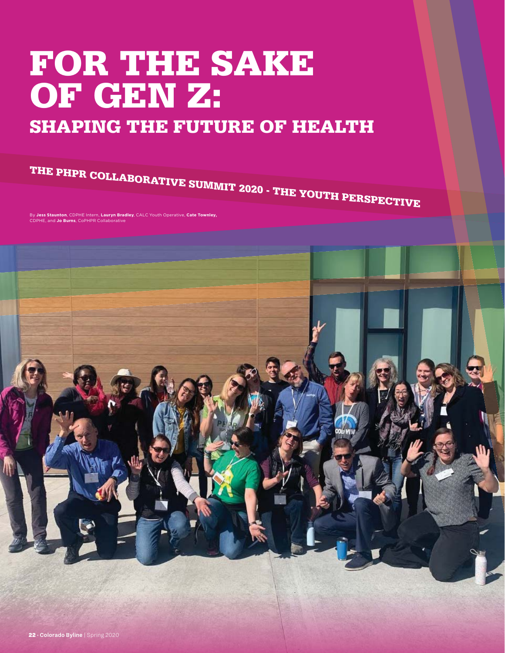# **FOR THE SAKE OF GEN Z:**

# **SHAPING THE FUTURE OF HEALTH**

**THE PHPR COLLABORATIVE SUMMIT 2020 - THE YOUTH PERSPECTIVE** 

By **Jess Staunton**, CDPHE Intern, **Lauryn Bradley**, CALC Youth Operative, **Cate Townley, IF, and Jo Burns, CoPHPR Collaborative** 

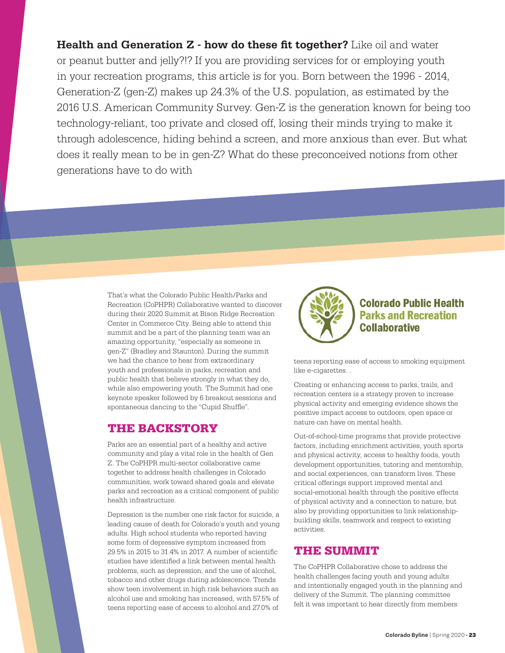**Health and Generation Z - how do these fit together?** Like oil and water or peanut butter and jelly?!? If you are providing services for or employing youth in your recreation programs, this article is for you. Born between the 1996 - 2014, Generation-Z (gen-Z) makes up 24.3% of the U.S. population, as estimated by the 2016 U.S. American Community Survey. Gen-Z is the generation known for being too technology-reliant, too private and closed off, losing their minds trying to make it through adolescence, hiding behind a screen, and more anxious than ever. But what does it really mean to be in gen-Z? What do these preconceived notions from other generations have to do with

> That's what the Colorado Public Health/Parks and Recreation (CoPHPR) Collaborative wanted to discover during their 2020 Summit at Bison Ridge Recreation Center in Commerce City. Being able to attend this summit and be a part of the planning team was an amazing opportunity, "especially as someone in gen-Z" (Bradley and Staunton). During the summit we had the chance to hear from extraordinary youth and professionals in parks, recreation and public health that believe strongly in what they do, while also empowering youth. The Summit had one keynote speaker followed by 6 breakout sessions and spontaneous dancing to the "Cupid Shuffle".

#### **THE BACKSTORY**

Parks are an essential part of a healthy and active community and play a vital role in the health of Gen Z. The CoPHPR multi-sector collaborative came together to address health challenges in Colorado communities, work toward shared goals and elevate parks and recreation as a critical component of public health infrastructure.

Depression is the number one risk factor for suicide, a leading cause of death for Colorado's youth and young adults. High school students who reported having some form of depressive symptom increased from 29.5% in 2015 to 31.4% in 2017. A number of scientific studies have identified a link between mental health problems, such as depression, and the use of alcohol, tobacco and other drugs during adolescence. Trends show teen involvement in high risk behaviors such as alcohol use and smoking has increased, with 57.5% of teens reporting ease of access to alcohol and 27.0% of



#### **Colorado Public Health Parks and Recreation Collaborative**

teens reporting ease of access to smoking equipment like e-cigarettes. .

Creating or enhancing access to parks, trails, and recreation centers is a strategy proven to increase physical activity and emerging evidence shows the positive impact access to outdoors, open space or nature can have on mental health.

Out-of-school-time programs that provide protective factors, including enrichment activities, youth sports and physical activity, access to healthy foods, youth development opportunities, tutoring and mentorship, and social experiences, can transform lives. These critical offerings support improved mental and social-emotional health through the positive effects of physical activity and a connection to nature, but also by providing opportunities to link relationshipbuilding skills, teamwork and respect to existing activities.

#### **THE SUMMIT**

The CoPHPR Collaborative chose to address the health challenges facing youth and young adults and intentionally engaged youth in the planning and delivery of the Summit. The planning committee felt it was important to hear directly from members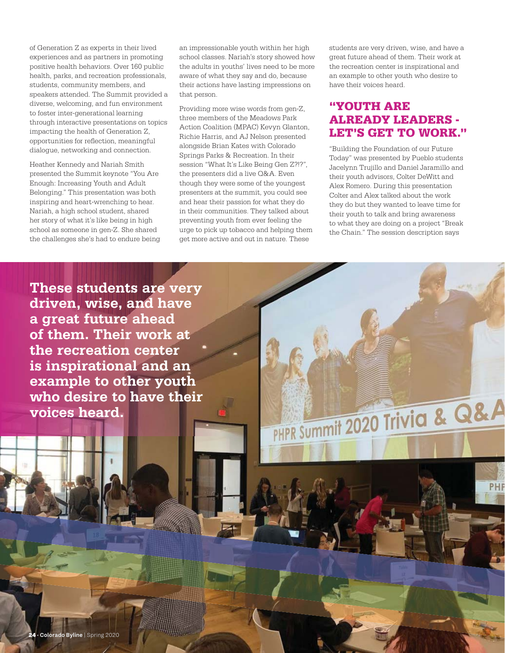of Generation Z as experts in their lived experiences and as partners in promoting positive health behaviors. Over 160 public health, parks, and recreation professionals, students, community members, and speakers attended. The Summit provided a diverse, welcoming, and fun environment to foster inter-generational learning through interactive presentations on topics impacting the health of Generation Z, opportunities for reflection, meaningful dialogue, networking and connection.

Heather Kennedy and Nariah Smith presented the Summit keynote "You Are Enough: Increasing Youth and Adult Belonging." This presentation was both inspiring and heart-wrenching to hear. Nariah, a high school student, shared her story of what it's like being in high school as someone in gen-Z. She shared the challenges she's had to endure being

an impressionable youth within her high school classes. Nariah's story showed how the adults in youths' lives need to be more aware of what they say and do, because their actions have lasting impressions on that person.

Providing more wise words from gen-Z, three members of the Meadows Park Action Coalition (MPAC) Kevyn Glanton, Richie Harris, and AJ Nelson presented alongside Brian Kates with Colorado Springs Parks & Recreation. In their session "What It's Like Being Gen Z?!?", the presenters did a live Q&A. Even though they were some of the youngest presenters at the summit, you could see and hear their passion for what they do in their communities. They talked about preventing youth from ever feeling the urge to pick up tobacco and helping them get more active and out in nature. These

students are very driven, wise, and have a great future ahead of them. Their work at the recreation center is inspirational and an example to other youth who desire to have their voices heard.

## **"YOUTH ARE ALREADY LEADERS - LET'S GET TO WORK."**

"Building the Foundation of our Future Today" was presented by Pueblo students Jacelynn Trujillo and Daniel Jaramillo and their youth advisors, Colter DeWitt and Alex Romero. During this presentation Colter and Alex talked about the work they do but they wanted to leave time for their youth to talk and bring awareness to what they are doing on a project "Break the Chain." The session description says

PHPR Summit 2020 Trivia & Q&A

PHF

**These students are very driven, wise, and have a great future ahead of them. Their work at the recreation center is inspirational and an example to other youth who desire to have their voices heard.**